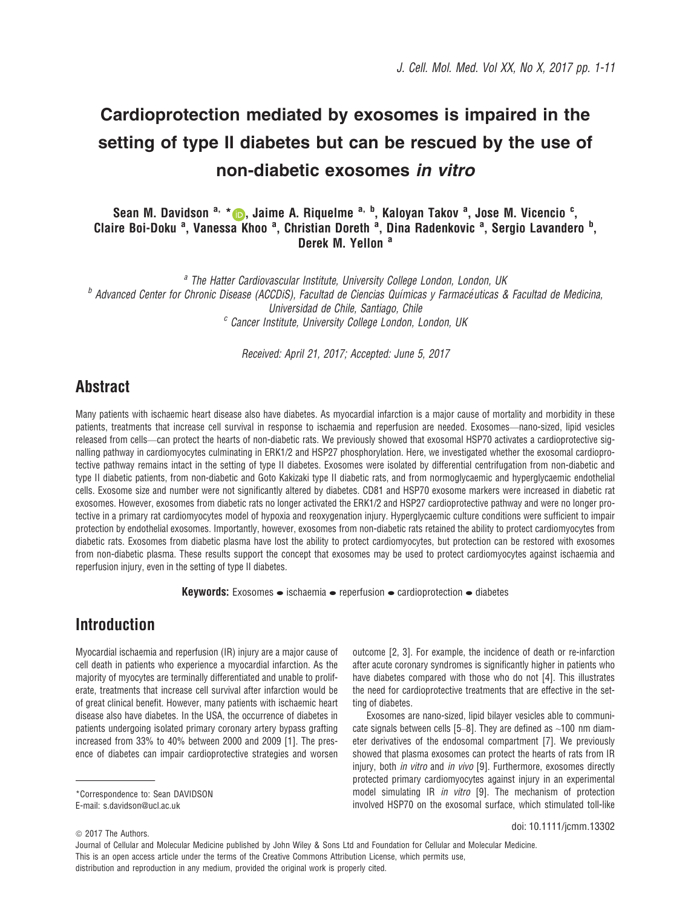# Cardioprotection mediated by exosomes is impaired in the setting of type II diabetes but can be rescued by the use of non-diabetic exosomes in vitro

### Sean M. Davidson <sup>a,</sup> \* (D, Jaime A. Riquelme <sup>a, b</sup>, Kaloyan Takov <sup>a</sup>, Jose M. Vicencio <sup>c</sup>, Claire Boi-Doku<sup>a</sup>, Vanessa Khoo<sup>a</sup>, Christian Doreth<sup>a</sup>, Dina Radenkovic<sup>a</sup>, Sergio Lavandero<sup>b</sup>, Derek M. Yellon<sup>a</sup>

<sup>a</sup> The Hatter Cardiovascular Institute, University College London, London, UK  $<sup>b</sup>$  Advanced Center for Chronic Disease (ACCDiS), Facultad de Ciencias Químicas y Farmacéuticas & Facultad de Medicina,</sup> Universidad de Chile, Santiago, Chile <sup>c</sup> Cancer Institute, University College London, London, UK

Received: April 21, 2017; Accepted: June 5, 2017

# Abstract

Many patients with ischaemic heart disease also have diabetes. As myocardial infarction is a major cause of mortality and morbidity in these patients, treatments that increase cell survival in response to ischaemia and reperfusion are needed. Exosomes—nano-sized, lipid vesicles released from cells—can protect the hearts of non-diabetic rats. We previously showed that exosomal HSP70 activates a cardioprotective signalling pathway in cardiomyocytes culminating in ERK1/2 and HSP27 phosphorylation. Here, we investigated whether the exosomal cardioprotective pathway remains intact in the setting of type II diabetes. Exosomes were isolated by differential centrifugation from non-diabetic and type II diabetic patients, from non-diabetic and Goto Kakizaki type II diabetic rats, and from normoglycaemic and hyperglycaemic endothelial cells. Exosome size and number were not significantly altered by diabetes. CD81 and HSP70 exosome markers were increased in diabetic rat exosomes. However, exosomes from diabetic rats no longer activated the ERK1/2 and HSP27 cardioprotective pathway and were no longer protective in a primary rat cardiomyocytes model of hypoxia and reoxygenation injury. Hyperglycaemic culture conditions were sufficient to impair protection by endothelial exosomes. Importantly, however, exosomes from non-diabetic rats retained the ability to protect cardiomyocytes from diabetic rats. Exosomes from diabetic plasma have lost the ability to protect cardiomyocytes, but protection can be restored with exosomes from non-diabetic plasma. These results support the concept that exosomes may be used to protect cardiomyocytes against ischaemia and reperfusion injury, even in the setting of type II diabetes.

**Keywords:** Exosomes  $\bullet$  ischaemia  $\bullet$  reperfusion  $\bullet$  cardioprotection  $\bullet$  diabetes

# Introduction

Myocardial ischaemia and reperfusion (IR) injury are a major cause of cell death in patients who experience a myocardial infarction. As the majority of myocytes are terminally differentiated and unable to proliferate, treatments that increase cell survival after infarction would be of great clinical benefit. However, many patients with ischaemic heart disease also have diabetes. In the USA, the occurrence of diabetes in patients undergoing isolated primary coronary artery bypass grafting increased from 33% to 40% between 2000 and 2009 [1]. The presence of diabetes can impair cardioprotective strategies and worsen

\*Correspondence to: Sean DAVIDSON E-mail: s.davidson@ucl.ac.uk

outcome [2, 3]. For example, the incidence of death or re-infarction after acute coronary syndromes is significantly higher in patients who have diabetes compared with those who do not [4]. This illustrates the need for cardioprotective treatments that are effective in the setting of diabetes.

Exosomes are nano-sized, lipid bilayer vesicles able to communicate signals between cells  $[5-8]$ . They are defined as  $\sim$ 100 nm diameter derivatives of the endosomal compartment [7]. We previously showed that plasma exosomes can protect the hearts of rats from IR injury, both *in vitro* and *in vivo* [9]. Furthermore, exosomes directly protected primary cardiomyocytes against injury in an experimental model simulating IR in vitro [9]. The mechanism of protection involved HSP70 on the exosomal surface, which stimulated toll-like

doi: 10.1111/jcmm.13302

distribution and reproduction in any medium, provided the original work is properly cited.

 $© 2017$  The Authors.

Journal of Cellular and Molecular Medicine published by John Wiley & Sons Ltd and Foundation for Cellular and Molecular Medicine. This is an open access article under the terms of the [Creative Commons Attribution](http://creativecommons.org/licenses/by/4.0/) License, which permits use,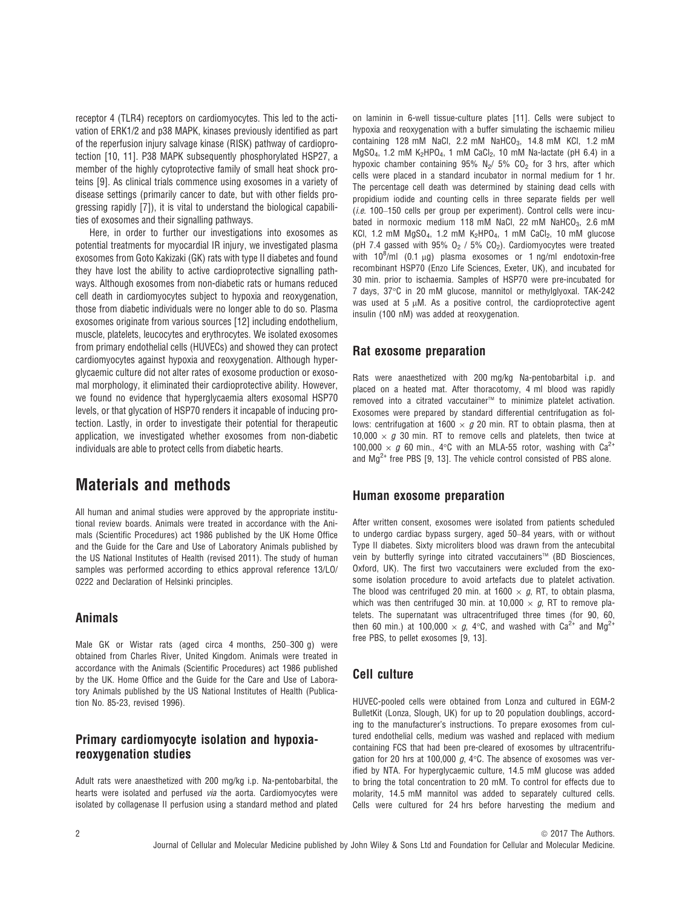receptor 4 (TLR4) receptors on cardiomyocytes. This led to the activation of ERK1/2 and p38 MAPK, kinases previously identified as part of the reperfusion injury salvage kinase (RISK) pathway of cardioprotection [10, 11]. P38 MAPK subsequently phosphorylated HSP27, a member of the highly cytoprotective family of small heat shock proteins [9]. As clinical trials commence using exosomes in a variety of disease settings (primarily cancer to date, but with other fields progressing rapidly [7]), it is vital to understand the biological capabilities of exosomes and their signalling pathways.

Here, in order to further our investigations into exosomes as potential treatments for myocardial IR injury, we investigated plasma exosomes from Goto Kakizaki (GK) rats with type II diabetes and found they have lost the ability to active cardioprotective signalling pathways. Although exosomes from non-diabetic rats or humans reduced cell death in cardiomyocytes subject to hypoxia and reoxygenation, those from diabetic individuals were no longer able to do so. Plasma exosomes originate from various sources [12] including endothelium, muscle, platelets, leucocytes and erythrocytes. We isolated exosomes from primary endothelial cells (HUVECs) and showed they can protect cardiomyocytes against hypoxia and reoxygenation. Although hyperglycaemic culture did not alter rates of exosome production or exosomal morphology, it eliminated their cardioprotective ability. However, we found no evidence that hyperglycaemia alters exosomal HSP70 levels, or that glycation of HSP70 renders it incapable of inducing protection. Lastly, in order to investigate their potential for therapeutic application, we investigated whether exosomes from non-diabetic individuals are able to protect cells from diabetic hearts.

### Materials and methods

All human and animal studies were approved by the appropriate institutional review boards. Animals were treated in accordance with the Animals (Scientific Procedures) act 1986 published by the UK Home Office and the Guide for the Care and Use of Laboratory Animals published by the US National Institutes of Health (revised 2011). The study of human samples was performed according to ethics approval reference 13/LO/ 0222 and Declaration of Helsinki principles.

#### Animals

Male GK or Wistar rats (aged circa 4 months, 250–300 g) were obtained from Charles River, United Kingdom. Animals were treated in accordance with the Animals (Scientific Procedures) act 1986 published by the UK. Home Office and the Guide for the Care and Use of Laboratory Animals published by the US National Institutes of Health (Publication No. 85-23, revised 1996).

### Primary cardiomyocyte isolation and hypoxiareoxygenation studies

Adult rats were anaesthetized with 200 mg/kg i.p. Na-pentobarbital, the hearts were isolated and perfused via the aorta. Cardiomyocytes were isolated by collagenase II perfusion using a standard method and plated on laminin in 6-well tissue-culture plates [11]. Cells were subject to hypoxia and reoxygenation with a buffer simulating the ischaemic milieu containing 128 mM NaCl, 2.2 mM NaHCO<sub>3</sub>, 14.8 mM KCl, 1.2 mM MgSO<sub>4</sub>, 1.2 mM K<sub>2</sub>HPO<sub>4</sub>, 1 mM CaCl<sub>2</sub>, 10 mM Na-lactate (pH 6.4) in a hypoxic chamber containing 95% N<sub>2</sub>/ 5% CO<sub>2</sub> for 3 hrs, after which cells were placed in a standard incubator in normal medium for 1 hr. The percentage cell death was determined by staining dead cells with propidium iodide and counting cells in three separate fields per well (i.e. 100–150 cells per group per experiment). Control cells were incubated in normoxic medium 118 mM NaCl, 22 mM NaHCO<sub>3</sub>, 2.6 mM KCl, 1.2 mM  $MgSO_4$ , 1.2 mM  $K_2HPO_4$ , 1 mM CaCl<sub>2</sub>, 10 mM glucose (pH 7.4 gassed with 95%  $O_2$  / 5%  $CO_2$ ). Cardiomyocytes were treated with  $10^8$ /ml (0.1  $\mu$ g) plasma exosomes or 1 ng/ml endotoxin-free recombinant HSP70 (Enzo Life Sciences, Exeter, UK), and incubated for 30 min. prior to ischaemia. Samples of HSP70 were pre-incubated for 7 days, 37°C in 20 mM glucose, mannitol or methylglyoxal. TAK-242 was used at  $5 \mu$ M. As a positive control, the cardioprotective agent insulin (100 nM) was added at reoxygenation.

#### Rat exosome preparation

Rats were anaesthetized with 200 mg/kg Na-pentobarbital i.p. and placed on a heated mat. After thoracotomy, 4 ml blood was rapidly removed into a citrated vaccutainer<sup>™</sup> to minimize platelet activation. Exosomes were prepared by standard differential centrifugation as follows: centrifugation at 1600  $\times$  g 20 min. RT to obtain plasma, then at 10,000  $\times$  g 30 min. RT to remove cells and platelets, then twice at 100,000  $\times$  g 60 min., 4°C with an MLA-55 rotor, washing with Ca<sup>2+</sup> and  $Mg^{2+}$  free PBS [9, 13]. The vehicle control consisted of PBS alone.

#### Human exosome preparation

After written consent, exosomes were isolated from patients scheduled to undergo cardiac bypass surgery, aged 50–84 years, with or without Type II diabetes. Sixty microliters blood was drawn from the antecubital vein by butterfly syringe into citrated vaccutainers™ (BD Biosciences, Oxford, UK). The first two vaccutainers were excluded from the exosome isolation procedure to avoid artefacts due to platelet activation. The blood was centrifuged 20 min. at 1600  $\times$  g, RT, to obtain plasma, which was then centrifuged 30 min. at 10,000  $\times$  g, RT to remove platelets. The supernatant was ultracentrifuged three times (for 90, 60, then 60 min.) at 100,000  $\times$  g, 4°C, and washed with Ca<sup>2+</sup> and Mg<sup>2+</sup> free PBS, to pellet exosomes [9, 13].

### Cell culture

HUVEC-pooled cells were obtained from Lonza and cultured in EGM-2 BulletKit (Lonza, Slough, UK) for up to 20 population doublings, according to the manufacturer's instructions. To prepare exosomes from cultured endothelial cells, medium was washed and replaced with medium containing FCS that had been pre-cleared of exosomes by ultracentrifugation for 20 hrs at 100,000  $g$ , 4 $\degree$ C. The absence of exosomes was verified by NTA. For hyperglycaemic culture, 14.5 mM glucose was added to bring the total concentration to 20 mM. To control for effects due to molarity, 14.5 mM mannitol was added to separately cultured cells. Cells were cultured for 24 hrs before harvesting the medium and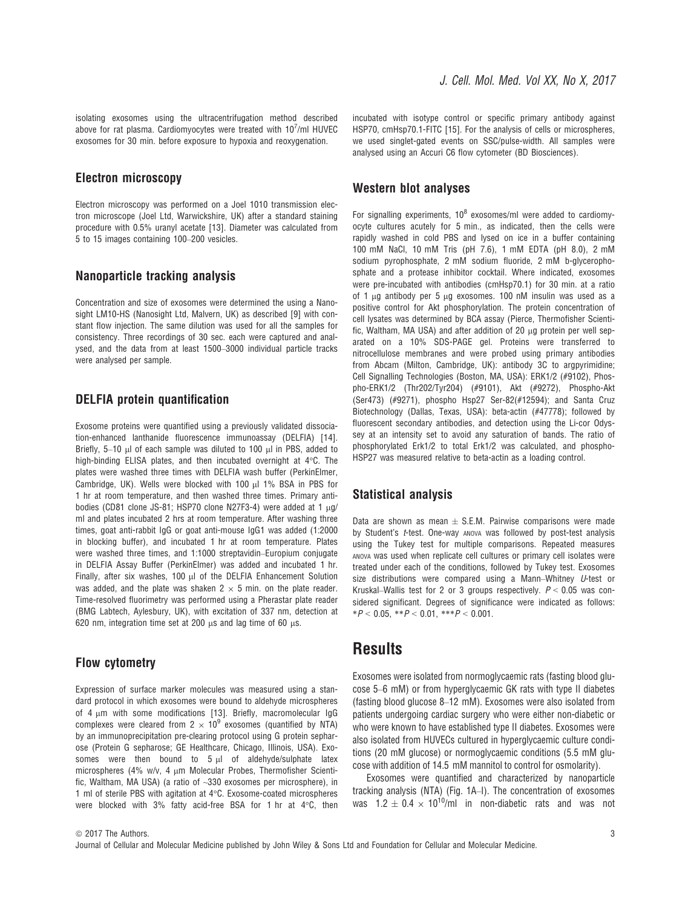isolating exosomes using the ultracentrifugation method described above for rat plasma. Cardiomyocytes were treated with  $10^7$ /ml HUVEC exosomes for 30 min. before exposure to hypoxia and reoxygenation.

#### Electron microscopy

Electron microscopy was performed on a Joel 1010 transmission electron microscope (Joel Ltd, Warwickshire, UK) after a standard staining procedure with 0.5% uranyl acetate [13]. Diameter was calculated from 5 to 15 images containing 100–200 vesicles.

#### Nanoparticle tracking analysis

Concentration and size of exosomes were determined the using a Nanosight LM10-HS (Nanosight Ltd, Malvern, UK) as described [9] with constant flow injection. The same dilution was used for all the samples for consistency. Three recordings of 30 sec. each were captured and analysed, and the data from at least 1500–3000 individual particle tracks were analysed per sample.

#### DELFIA protein quantification

Exosome proteins were quantified using a previously validated dissociation-enhanced lanthanide fluorescence immunoassay (DELFIA) [14]. Briefly,  $5-10$  µl of each sample was diluted to 100 µl in PBS, added to high-binding ELISA plates, and then incubated overnight at 4°C. The plates were washed three times with DELFIA wash buffer (PerkinElmer, Cambridge, UK). Wells were blocked with 100 µl 1% BSA in PBS for 1 hr at room temperature, and then washed three times. Primary antibodies (CD81 clone JS-81; HSP70 clone N27F3-4) were added at 1  $\mu$ g/ ml and plates incubated 2 hrs at room temperature. After washing three times, goat anti-rabbit IgG or goat anti-mouse IgG1 was added (1:2000 in blocking buffer), and incubated 1 hr at room temperature. Plates were washed three times, and 1:1000 streptavidin–Europium conjugate in DELFIA Assay Buffer (PerkinElmer) was added and incubated 1 hr. Finally, after six washes, 100  $\mu$ l of the DELFIA Enhancement Solution was added, and the plate was shaken  $2 \times 5$  min. on the plate reader. Time-resolved fluorimetry was performed using a Pherastar plate reader (BMG Labtech, Aylesbury, UK), with excitation of 337 nm, detection at 620 nm, integration time set at 200  $\mu$ s and lag time of 60  $\mu$ s.

#### Flow cytometry

Expression of surface marker molecules was measured using a standard protocol in which exosomes were bound to aldehyde microspheres of 4  $\mu$ m with some modifications [13]. Briefly, macromolecular IgG complexes were cleared from  $2 \times 10^9$  exosomes (quantified by NTA) by an immunoprecipitation pre-clearing protocol using G protein sepharose (Protein G sepharose; GE Healthcare, Chicago, Illinois, USA). Exosomes were then bound to  $5 \mu$  of aldehyde/sulphate latex microspheres (4% w/v, 4  $\mu$ m Molecular Probes, Thermofisher Scientific, Waltham, MA USA) (a ratio of ~330 exosomes per microsphere), in 1 ml of sterile PBS with agitation at 4°C. Exosome-coated microspheres were blocked with 3% fatty acid-free BSA for 1 hr at 4°C, then

incubated with isotype control or specific primary antibody against HSP70, cmHsp70.1-FITC [15]. For the analysis of cells or microspheres, we used singlet-gated events on SSC/pulse-width. All samples were analysed using an Accuri C6 flow cytometer (BD Biosciences).

#### Western blot analyses

For signalling experiments,  $10^8$  exosomes/ml were added to cardiomyocyte cultures acutely for 5 min., as indicated, then the cells were rapidly washed in cold PBS and lysed on ice in a buffer containing 100 mM NaCl, 10 mM Tris (pH 7.6), 1 mM EDTA (pH 8.0), 2 mM sodium pyrophosphate, 2 mM sodium fluoride, 2 mM b-glycerophosphate and a protease inhibitor cocktail. Where indicated, exosomes were pre-incubated with antibodies (cmHsp70.1) for 30 min. at a ratio of 1  $\mu$ g antibody per 5  $\mu$ g exosomes. 100 nM insulin was used as a positive control for Akt phosphorylation. The protein concentration of cell lysates was determined by BCA assay (Pierce, Thermofisher Scientific, Waltham, MA USA) and after addition of 20  $\mu$ g protein per well separated on a 10% SDS-PAGE gel. Proteins were transferred to nitrocellulose membranes and were probed using primary antibodies from Abcam (Milton, Cambridge, UK): antibody 3C to argpyrimidine; Cell Signalling Technologies (Boston, MA, USA): ERK1/2 (#9102), Phospho-ERK1/2 (Thr202/Tyr204) (#9101), Akt (#9272), Phospho-Akt (Ser473) (#9271), phospho Hsp27 Ser-82(#12594); and Santa Cruz Biotechnology (Dallas, Texas, USA): beta-actin (#47778); followed by fluorescent secondary antibodies, and detection using the Li-cor Odyssey at an intensity set to avoid any saturation of bands. The ratio of phosphorylated Erk1/2 to total Erk1/2 was calculated, and phospho-HSP27 was measured relative to beta-actin as a loading control.

#### Statistical analysis

Data are shown as mean  $\pm$  S.E.M. Pairwise comparisons were made by Student's *t*-test. One-way ANOVA was followed by post-test analysis using the Tukey test for multiple comparisons. Repeated measures ANOVA was used when replicate cell cultures or primary cell isolates were treated under each of the conditions, followed by Tukey test. Exosomes size distributions were compared using a Mann–Whitney U-test or Kruskal–Wallis test for 2 or 3 groups respectively.  $P < 0.05$  was considered significant. Degrees of significance were indicated as follows:  $*P < 0.05$ ,  $*P < 0.01$ ,  $**P < 0.001$ .

### **Results**

Exosomes were isolated from normoglycaemic rats (fasting blood glucose 5–6 mM) or from hyperglycaemic GK rats with type II diabetes (fasting blood glucose 8–12 mM). Exosomes were also isolated from patients undergoing cardiac surgery who were either non-diabetic or who were known to have established type II diabetes. Exosomes were also isolated from HUVECs cultured in hyperglycaemic culture conditions (20 mM glucose) or normoglycaemic conditions (5.5 mM glucose with addition of 14.5 mM mannitol to control for osmolarity).

Exosomes were quantified and characterized by nanoparticle tracking analysis (NTA) (Fig. 1A–I). The concentration of exosomes was  $1.2 \pm 0.4 \times 10^{10}$ /ml in non-diabetic rats and was not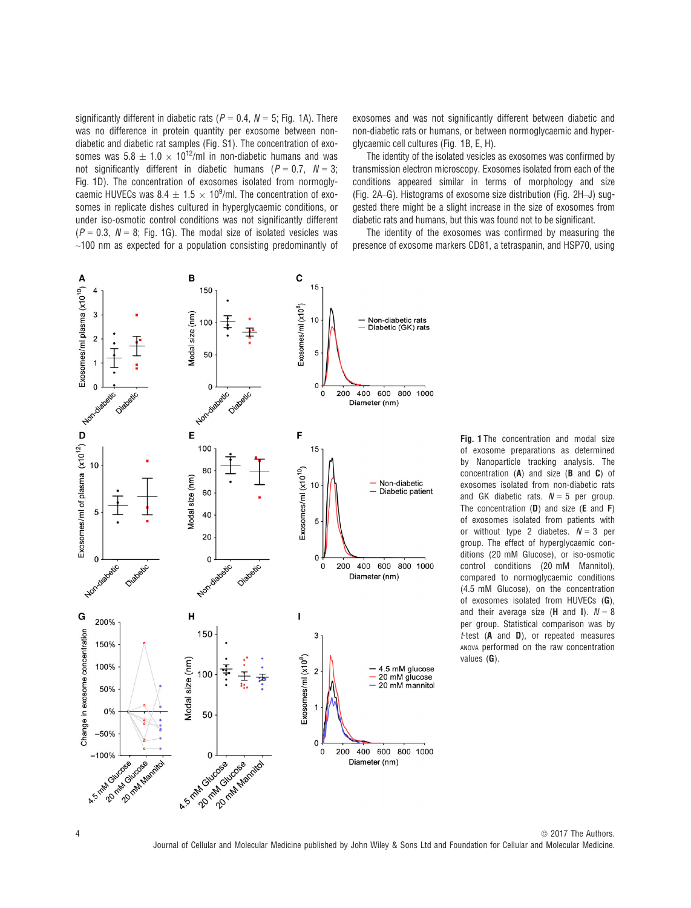significantly different in diabetic rats ( $P = 0.4$ ,  $N = 5$ ; Fig. 1A). There was no difference in protein quantity per exosome between nondiabetic and diabetic rat samples (Fig. S1). The concentration of exosomes was  $5.8 \pm 1.0 \times 10^{12}$ /ml in non-diabetic humans and was not significantly different in diabetic humans ( $P = 0.7$ ,  $N = 3$ ; Fig. 1D). The concentration of exosomes isolated from normoglycaemic HUVECs was  $8.4 \pm 1.5 \times 10^9$ /ml. The concentration of exosomes in replicate dishes cultured in hyperglycaemic conditions, or under iso-osmotic control conditions was not significantly different  $(P = 0.3, N = 8;$  Fig. 1G). The modal size of isolated vesicles was  $\sim$ 100 nm as expected for a population consisting predominantly of exosomes and was not significantly different between diabetic and non-diabetic rats or humans, or between normoglycaemic and hyperglycaemic cell cultures (Fig. 1B, E, H).

The identity of the isolated vesicles as exosomes was confirmed by transmission electron microscopy. Exosomes isolated from each of the conditions appeared similar in terms of morphology and size (Fig. 2A–G). Histograms of exosome size distribution (Fig. 2H–J) suggested there might be a slight increase in the size of exosomes from diabetic rats and humans, but this was found not to be significant.

The identity of the exosomes was confirmed by measuring the presence of exosome markers CD81, a tetraspanin, and HSP70, using



Fig. 1 The concentration and modal size of exosome preparations as determined by Nanoparticle tracking analysis. The concentration (A) and size (B and C) of exosomes isolated from non-diabetic rats and GK diabetic rats.  $N = 5$  per group. The concentration  $(D)$  and size  $(E \text{ and } F)$ of exosomes isolated from patients with or without type 2 diabetes.  $N = 3$  per group. The effect of hyperglycaemic conditions (20 mM Glucose), or iso-osmotic control conditions (20 mM Mannitol), compared to normoglycaemic conditions (4.5 mM Glucose), on the concentration of exosomes isolated from HUVECs (G), and their average size (**H** and **I**).  $N = 8$ per group. Statistical comparison was by  $t$ -test ( $A$  and  $D$ ), or repeated measures ANOVA performed on the raw concentration values (G).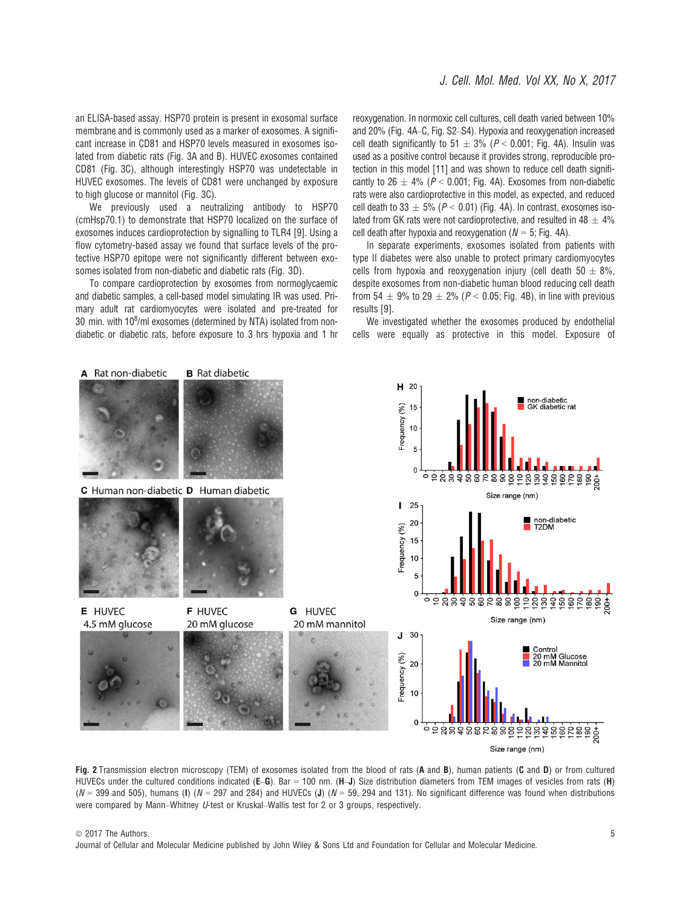an ELISA-based assay. HSP70 protein is present in exosomal surface membrane and is commonly used as a marker of exosomes. A significant increase in CD81 and HSP70 levels measured in exosomes isolated from diabetic rats (Fig. 3A and B). HUVEC exosomes contained CD81 (Fig. 3C), although interestingly HSP70 was undetectable in HUVEC exosomes. The levels of CD81 were unchanged by exposure to high glucose or mannitol (Fig. 3C).

We previously used a neutralizing antibody to HSP70 (cmHsp70.1) to demonstrate that HSP70 localized on the surface of exosomes induces cardioprotection by signalling to TLR4 [9]. Using a flow cytometry-based assay we found that surface levels of the protective HSP70 epitope were not significantly different between exosomes isolated from non-diabetic and diabetic rats (Fig. 3D).

To compare cardioprotection by exosomes from normoglycaemic and diabetic samples, a cell-based model simulating IR was used. Primary adult rat cardiomyocytes were isolated and pre-treated for 30 min. with  $10^8$ /ml exosomes (determined by NTA) isolated from nondiabetic or diabetic rats, before exposure to 3 hrs hypoxia and 1 hr reoxygenation. In normoxic cell cultures, cell death varied between 10% and 20% (Fig. 4A–C, Fig. S2–S4). Hypoxia and reoxygenation increased cell death significantly to  $51 \pm 3\%$  ( $P < 0.001$ ; Fig. 4A). Insulin was used as a positive control because it provides strong, reproducible protection in this model [11] and was shown to reduce cell death significantly to 26  $\pm$  4% (P < 0.001; Fig. 4A). Exosomes from non-diabetic rats were also cardioprotective in this model, as expected, and reduced cell death to 33  $\pm$  5% (P < 0.01) (Fig. 4A). In contrast, exosomes isolated from GK rats were not cardioprotective, and resulted in 48  $\pm$  4% cell death after hypoxia and reoxygenation ( $N = 5$ ; Fig. 4A).

In separate experiments, exosomes isolated from patients with type II diabetes were also unable to protect primary cardiomyocytes cells from hypoxia and reoxygenation injury (cell death 50  $\pm$  8%, despite exosomes from non-diabetic human blood reducing cell death from 54  $\pm$  9% to 29  $\pm$  2% (P < 0.05; Fig. 4B), in line with previous results [9].

We investigated whether the exosomes produced by endothelial cells were equally as protective in this model. Exposure of



Fig. 2 Transmission electron microscopy (TEM) of exosomes isolated from the blood of rats (A and B), human patients (C and D) or from cultured HUVECs under the cultured conditions indicated (E–G). Bar = 100 nm. (H–J) Size distribution diameters from TEM images of vesicles from rats (H) ( $N = 399$  and 505), humans (I) ( $N = 297$  and 284) and HUVECs (J) ( $N = 59$ , 294 and 131). No significant difference was found when distributions were compared by Mann–Whitney U-test or Kruskal–Wallis test for 2 or 3 groups, respectively.

Journal of Cellular and Molecular Medicine published by John Wiley & Sons Ltd and Foundation for Cellular and Molecular Medicine.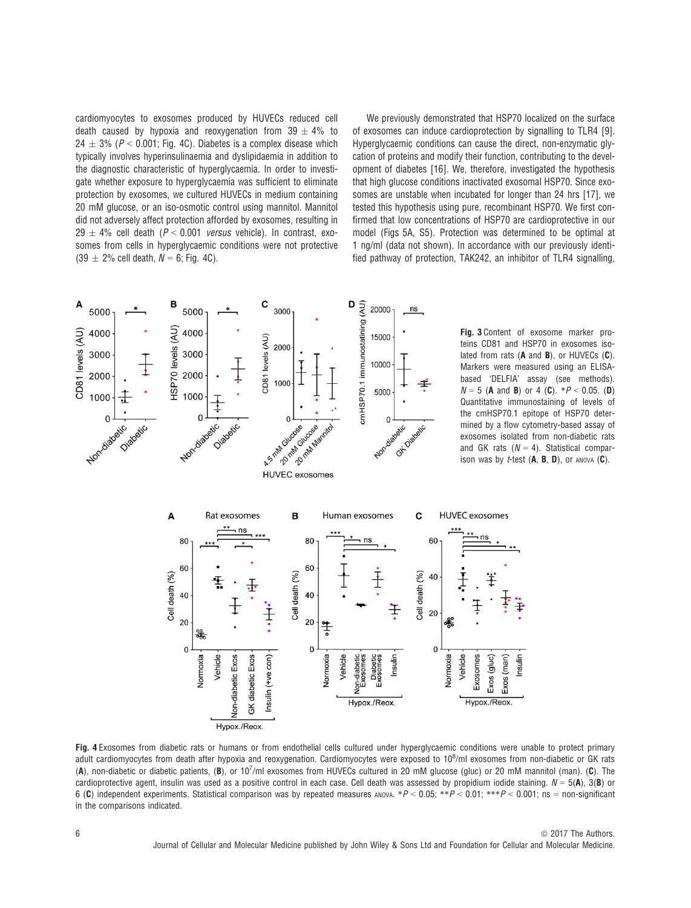cardiomyocytes to exosomes produced by HUVECs reduced cell death caused by hypoxia and reoxygenation from  $39 \pm 4\%$  to  $24 \pm 3\%$  (P < 0.001; Fig. 4C). Diabetes is a complex disease which typically involves hyperinsulinaemia and dyslipidaemia in addition to the diagnostic characteristic of hyperglycaemia. In order to investigate whether exposure to hyperglycaemia was sufficient to eliminate protection by exosomes, we cultured HUVECs in medium containing 20 mM glucose, or an iso-osmotic control using mannitol. Mannitol did not adversely affect protection afforded by exosomes, resulting in 29  $\pm$  4% cell death (P < 0.001 versus vehicle). In contrast, exosomes from cells in hyperglycaemic conditions were not protective  $(39 \pm 2\% \text{ cell death}, N = 6; \text{Fig. 4C}).$ 

We previously demonstrated that HSP70 localized on the surface of exosomes can induce cardioprotection by signalling to TLR4 [9]. Hyperglycaemic conditions can cause the direct, non-enzymatic glycation of proteins and modify their function, contributing to the development of diabetes [16]. We, therefore, investigated the hypothesis that high glucose conditions inactivated exosomal HSP70. Since exosomes are unstable when incubated for longer than 24 hrs [17], we tested this hypothesis using pure, recombinant HSP70. We first confirmed that low concentrations of HSP70 are cardioprotective in our model (Figs 5A, S5). Protection was determined to be optimal at 1 ng/ml (data not shown). In accordance with our previously identified pathway of protection, TAK242, an inhibitor of TLR4 signalling,

nsulin



Fig. 4 Exosomes from diabetic rats or humans or from endothelial cells cultured under hyperglycaemic conditions were unable to protect primary adult cardiomyocytes from death after hypoxia and reoxygenation. Cardiomyocytes were exposed to 10<sup>8</sup>/ml exosomes from non-diabetic or GK rats (A), non-diabetic or diabetic patients, (B), or  $10^7$ /ml exosomes from HUVECs cultured in 20 mM glucose (gluc) or 20 mM mannitol (man). (C). The cardioprotective agent, insulin was used as a positive control in each case. Cell death was assessed by propidium iodide staining.  $N = 5(A)$ ,  $3(B)$  or 6 (C) independent experiments. Statistical comparison was by repeated measures ANOVA. \*P < 0.05; \*\*P < 0.01; \*\*\*P < 0.001; ns = non-significant in the comparisons indicated.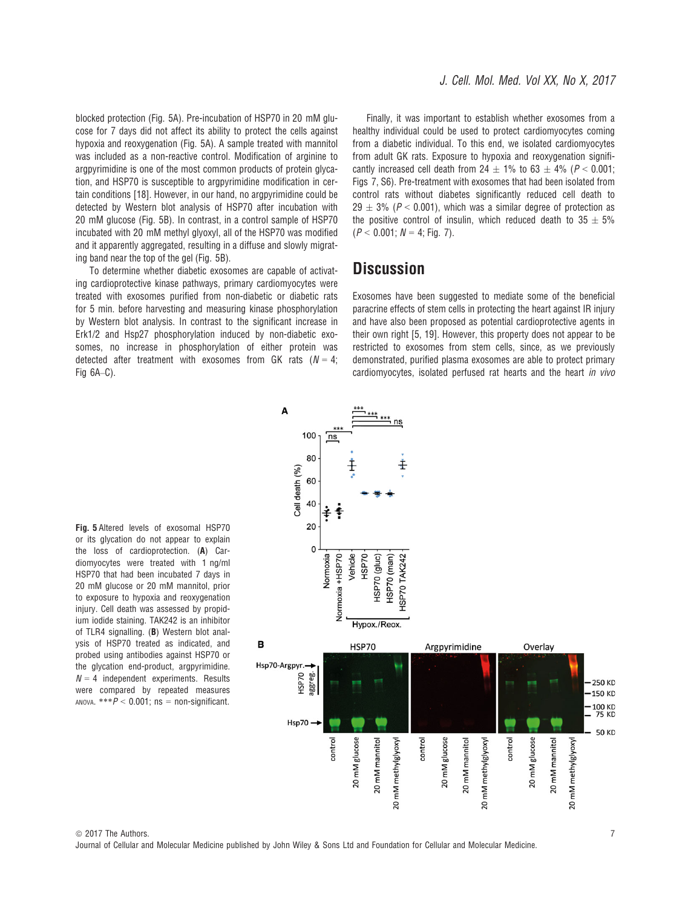blocked protection (Fig. 5A). Pre-incubation of HSP70 in 20 mM glucose for 7 days did not affect its ability to protect the cells against hypoxia and reoxygenation (Fig. 5A). A sample treated with mannitol was included as a non-reactive control. Modification of arginine to argpyrimidine is one of the most common products of protein glycation, and HSP70 is susceptible to argpyrimidine modification in certain conditions [18]. However, in our hand, no argpyrimidine could be detected by Western blot analysis of HSP70 after incubation with 20 mM glucose (Fig. 5B). In contrast, in a control sample of HSP70 incubated with 20 mM methyl glyoxyl, all of the HSP70 was modified and it apparently aggregated, resulting in a diffuse and slowly migrating band near the top of the gel (Fig. 5B).

To determine whether diabetic exosomes are capable of activating cardioprotective kinase pathways, primary cardiomyocytes were treated with exosomes purified from non-diabetic or diabetic rats for 5 min. before harvesting and measuring kinase phosphorylation by Western blot analysis. In contrast to the significant increase in Erk1/2 and Hsp27 phosphorylation induced by non-diabetic exosomes, no increase in phosphorylation of either protein was detected after treatment with exosomes from GK rats ( $N = 4$ ; Fig 6A–C).

A

Finally, it was important to establish whether exosomes from a healthy individual could be used to protect cardiomyocytes coming from a diabetic individual. To this end, we isolated cardiomyocytes from adult GK rats. Exposure to hypoxia and reoxygenation significantly increased cell death from 24  $\pm$  1% to 63  $\pm$  4% (P < 0.001; Figs 7, S6). Pre-treatment with exosomes that had been isolated from control rats without diabetes significantly reduced cell death to  $29 \pm 3\%$  (P < 0.001), which was a similar degree of protection as the positive control of insulin, which reduced death to  $35 \pm 5\%$  $(P < 0.001; N = 4; Fig. 7)$ .

### **Discussion**

Exosomes have been suggested to mediate some of the beneficial paracrine effects of stem cells in protecting the heart against IR injury and have also been proposed as potential cardioprotective agents in their own right [5, 19]. However, this property does not appear to be restricted to exosomes from stem cells, since, as we previously demonstrated, purified plasma exosomes are able to protect primary cardiomyocytes, isolated perfused rat hearts and the heart in vivo



Fig. 5 Altered levels of exosomal HSP70 or its glycation do not appear to explain the loss of cardioprotection. (A) Cardiomyocytes were treated with 1 ng/ml HSP70 that had been incubated 7 days in 20 mM glucose or 20 mM mannitol, prior to exposure to hypoxia and reoxygenation injury. Cell death was assessed by propidium iodide staining. TAK242 is an inhibitor of TLR4 signalling. (B) Western blot analysis of HSP70 treated as indicated, and probed using antibodies against HSP70 or the glycation end-product, argpyrimidine.  $N = 4$  independent experiments. Results were compared by repeated measures ANOVA.  $***P < 0.001$ ; ns = non-significant.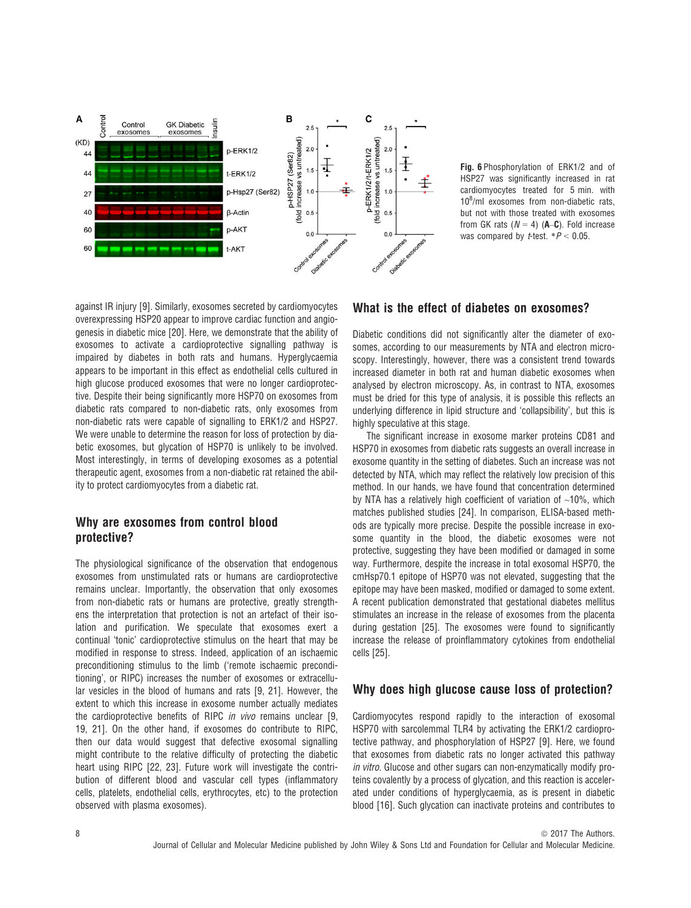

Fig. 6 Phosphorylation of ERK1/2 and of HSP27 was significantly increased in rat cardiomyocytes treated for 5 min. with 108 /ml exosomes from non-diabetic rats, but not with those treated with exosomes from GK rats ( $N = 4$ ) ( $A$ –C). Fold increase was compared by *t*-test.  $*P < 0.05$ .

against IR injury [9]. Similarly, exosomes secreted by cardiomyocytes overexpressing HSP20 appear to improve cardiac function and angiogenesis in diabetic mice [20]. Here, we demonstrate that the ability of exosomes to activate a cardioprotective signalling pathway is impaired by diabetes in both rats and humans. Hyperglycaemia appears to be important in this effect as endothelial cells cultured in high glucose produced exosomes that were no longer cardioprotective. Despite their being significantly more HSP70 on exosomes from diabetic rats compared to non-diabetic rats, only exosomes from non-diabetic rats were capable of signalling to ERK1/2 and HSP27. We were unable to determine the reason for loss of protection by diabetic exosomes, but glycation of HSP70 is unlikely to be involved. Most interestingly, in terms of developing exosomes as a potential therapeutic agent, exosomes from a non-diabetic rat retained the ability to protect cardiomyocytes from a diabetic rat.

#### Why are exosomes from control blood protective?

The physiological significance of the observation that endogenous exosomes from unstimulated rats or humans are cardioprotective remains unclear. Importantly, the observation that only exosomes from non-diabetic rats or humans are protective, greatly strengthens the interpretation that protection is not an artefact of their isolation and purification. We speculate that exosomes exert a continual 'tonic' cardioprotective stimulus on the heart that may be modified in response to stress. Indeed, application of an ischaemic preconditioning stimulus to the limb ('remote ischaemic preconditioning', or RIPC) increases the number of exosomes or extracellular vesicles in the blood of humans and rats [9, 21]. However, the extent to which this increase in exosome number actually mediates the cardioprotective benefits of RIPC in vivo remains unclear [9, 19, 21]. On the other hand, if exosomes do contribute to RIPC, then our data would suggest that defective exosomal signalling might contribute to the relative difficulty of protecting the diabetic heart using RIPC [22, 23]. Future work will investigate the contribution of different blood and vascular cell types (inflammatory cells, platelets, endothelial cells, erythrocytes, etc) to the protection observed with plasma exosomes).

### What is the effect of diabetes on exosomes?

Diabetic conditions did not significantly alter the diameter of exosomes, according to our measurements by NTA and electron microscopy. Interestingly, however, there was a consistent trend towards increased diameter in both rat and human diabetic exosomes when analysed by electron microscopy. As, in contrast to NTA, exosomes must be dried for this type of analysis, it is possible this reflects an underlying difference in lipid structure and 'collapsibility', but this is highly speculative at this stage.

The significant increase in exosome marker proteins CD81 and HSP70 in exosomes from diabetic rats suggests an overall increase in exosome quantity in the setting of diabetes. Such an increase was not detected by NTA, which may reflect the relatively low precision of this method. In our hands, we have found that concentration determined by NTA has a relatively high coefficient of variation of  $~10\%$ , which matches published studies [24]. In comparison, ELISA-based methods are typically more precise. Despite the possible increase in exosome quantity in the blood, the diabetic exosomes were not protective, suggesting they have been modified or damaged in some way. Furthermore, despite the increase in total exosomal HSP70, the cmHsp70.1 epitope of HSP70 was not elevated, suggesting that the epitope may have been masked, modified or damaged to some extent. A recent publication demonstrated that gestational diabetes mellitus stimulates an increase in the release of exosomes from the placenta during gestation [25]. The exosomes were found to significantly increase the release of proinflammatory cytokines from endothelial cells [25].

### Why does high glucose cause loss of protection?

Cardiomyocytes respond rapidly to the interaction of exosomal HSP70 with sarcolemmal TLR4 by activating the ERK1/2 cardioprotective pathway, and phosphorylation of HSP27 [9]. Here, we found that exosomes from diabetic rats no longer activated this pathway in vitro. Glucose and other sugars can non-enzymatically modify proteins covalently by a process of glycation, and this reaction is accelerated under conditions of hyperglycaemia, as is present in diabetic blood [16]. Such glycation can inactivate proteins and contributes to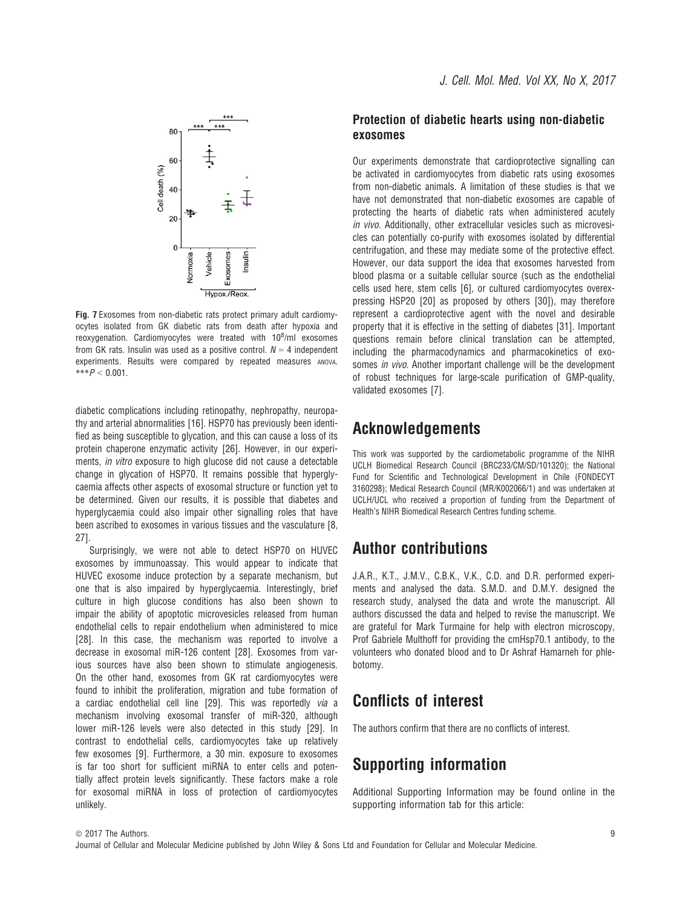

Fig. 7 Exosomes from non-diabetic rats protect primary adult cardiomyocytes isolated from GK diabetic rats from death after hypoxia and reoxygenation. Cardiomyocytes were treated with  $10^8$ /ml exosomes from GK rats. Insulin was used as a positive control.  $N = 4$  independent experiments. Results were compared by repeated measures ANOVA.  $***P < 0.001$ .

diabetic complications including retinopathy, nephropathy, neuropathy and arterial abnormalities [16]. HSP70 has previously been identified as being susceptible to glycation, and this can cause a loss of its protein chaperone enzymatic activity [26]. However, in our experiments, in vitro exposure to high glucose did not cause a detectable change in glycation of HSP70. It remains possible that hyperglycaemia affects other aspects of exosomal structure or function yet to be determined. Given our results, it is possible that diabetes and hyperglycaemia could also impair other signalling roles that have been ascribed to exosomes in various tissues and the vasculature [8, 27].

Surprisingly, we were not able to detect HSP70 on HUVEC exosomes by immunoassay. This would appear to indicate that HUVEC exosome induce protection by a separate mechanism, but one that is also impaired by hyperglycaemia. Interestingly, brief culture in high glucose conditions has also been shown to impair the ability of apoptotic microvesicles released from human endothelial cells to repair endothelium when administered to mice [28]. In this case, the mechanism was reported to involve a decrease in exosomal miR-126 content [28]. Exosomes from various sources have also been shown to stimulate angiogenesis. On the other hand, exosomes from GK rat cardiomyocytes were found to inhibit the proliferation, migration and tube formation of a cardiac endothelial cell line [29]. This was reportedly via a mechanism involving exosomal transfer of miR-320, although lower miR-126 levels were also detected in this study [29]. In contrast to endothelial cells, cardiomyocytes take up relatively few exosomes [9]. Furthermore, a 30 min. exposure to exosomes is far too short for sufficient miRNA to enter cells and potentially affect protein levels significantly. These factors make a role for exosomal miRNA in loss of protection of cardiomyocytes unlikely.

#### Protection of diabetic hearts using non-diabetic exosomes

Our experiments demonstrate that cardioprotective signalling can be activated in cardiomyocytes from diabetic rats using exosomes from non-diabetic animals. A limitation of these studies is that we have not demonstrated that non-diabetic exosomes are capable of protecting the hearts of diabetic rats when administered acutely in vivo. Additionally, other extracellular vesicles such as microvesicles can potentially co-purify with exosomes isolated by differential centrifugation, and these may mediate some of the protective effect. However, our data support the idea that exosomes harvested from blood plasma or a suitable cellular source (such as the endothelial cells used here, stem cells [6], or cultured cardiomyocytes overexpressing HSP20 [20] as proposed by others [30]), may therefore represent a cardioprotective agent with the novel and desirable property that it is effective in the setting of diabetes [31]. Important questions remain before clinical translation can be attempted, including the pharmacodynamics and pharmacokinetics of exosomes in vivo. Another important challenge will be the development of robust techniques for large-scale purification of GMP-quality, validated exosomes [7].

### Acknowledgements

This work was supported by the cardiometabolic programme of the NIHR UCLH Biomedical Research Council (BRC233/CM/SD/101320); the National Fund for Scientific and Technological Development in Chile (FONDECYT 3160298); Medical Research Council (MR/K002066/1) and was undertaken at UCLH/UCL who received a proportion of funding from the Department of Health's NIHR Biomedical Research Centres funding scheme.

# Author contributions

J.A.R., K.T., J.M.V., C.B.K., V.K., C.D. and D.R. performed experiments and analysed the data. S.M.D. and D.M.Y. designed the research study, analysed the data and wrote the manuscript. All authors discussed the data and helped to revise the manuscript. We are grateful for Mark Turmaine for help with electron microscopy, Prof Gabriele Multhoff for providing the cmHsp70.1 antibody, to the volunteers who donated blood and to Dr Ashraf Hamarneh for phlebotomy.

# Conflicts of interest

The authors confirm that there are no conflicts of interest.

# Supporting information

Additional Supporting Information may be found online in the supporting information tab for this article: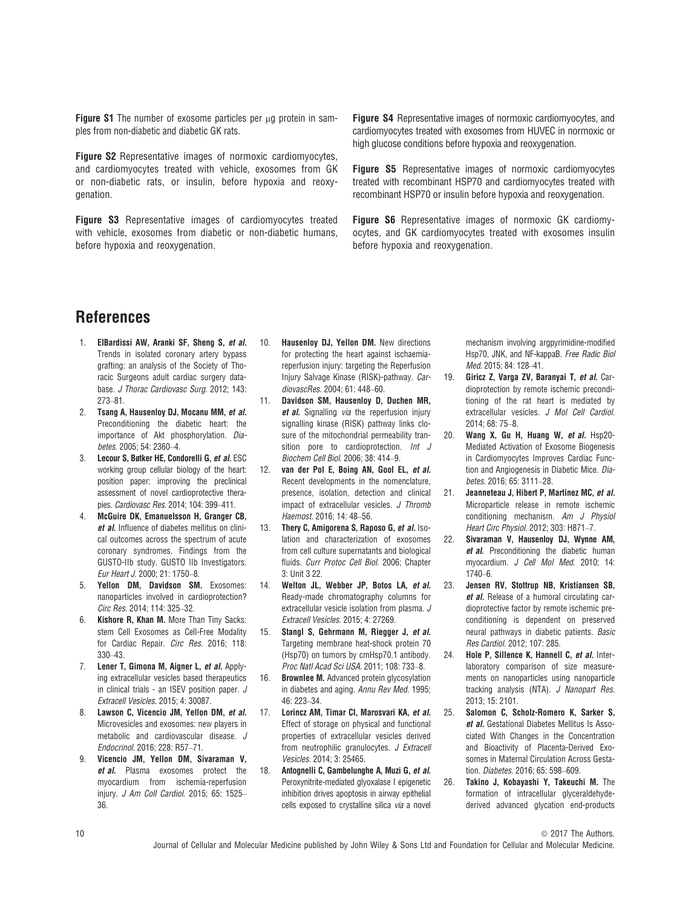Figure S1 The number of exosome particles per up protein in samples from non-diabetic and diabetic GK rats.

Figure S2 Representative images of normoxic cardiomyocytes, and cardiomyocytes treated with vehicle, exosomes from GK or non-diabetic rats, or insulin, before hypoxia and reoxygenation.

Figure S3 Representative images of cardiomyocytes treated with vehicle, exosomes from diabetic or non-diabetic humans, before hypoxia and reoxygenation.

Figure S4 Representative images of normoxic cardiomyocytes, and cardiomyocytes treated with exosomes from HUVEC in normoxic or high glucose conditions before hypoxia and reoxygenation.

Figure S5 Representative images of normoxic cardiomyocytes treated with recombinant HSP70 and cardiomyocytes treated with recombinant HSP70 or insulin before hypoxia and reoxygenation.

Figure S6 Representative images of normoxic GK cardiomyocytes, and GK cardiomyocytes treated with exosomes insulin before hypoxia and reoxygenation.

# References

- 1. ElBardissi AW, Aranki SF, Sheng S, et al. Trends in isolated coronary artery bypass grafting: an analysis of the Society of Thoracic Surgeons adult cardiac surgery database. J Thorac Cardiovasc Surg. 2012; 143: 273–81.
- 2. Tsang A, Hausenloy DJ, Mocanu MM, et al. Preconditioning the diabetic heart: the importance of Akt phosphorylation. Diabetes. 2005; 54: 2360–4.
- 3. Lecour S, Bøtker HE, Condorelli G, et al. ESC working group cellular biology of the heart: position paper: improving the preclinical assessment of novel cardioprotective therapies. Cardiovasc Res. 2014; 104: 399–411.
- 4. McGuire DK, Emanuelsson H, Granger CB, et al. Influence of diabetes mellitus on clinical outcomes across the spectrum of acute coronary syndromes. Findings from the GUSTO-IIb study. GUSTO IIb Investigators. Eur Heart J. 2000; 21: 1750–8.
- 5. Yellon DM, Davidson SM. Exosomes: nanoparticles involved in cardioprotection? Circ Res. 2014; 114: 325–32.
- 6. Kishore R, Khan M. More Than Tiny Sacks: stem Cell Exosomes as Cell-Free Modality for Cardiac Repair. Circ Res. 2016; 118: 330–43.
- 7. Lener T. Gimona M. Aigner L. et al. Applying extracellular vesicles based therapeutics in clinical trials - an ISEV position paper. J Extracell Vesicles. 2015; 4: 30087.
- 8. Lawson C. Vicencio JM, Yellon DM, et al. Microvesicles and exosomes: new players in metabolic and cardiovascular disease. J Endocrinol. 2016; 228: R57–71.
- 9. Vicencio JM, Yellon DM, Sivaraman V, et al. Plasma exosomes protect the myocardium from ischemia-reperfusion injury. J Am Coll Cardiol. 2015; 65: 1525– 36.
- 10. **Hausenloy DJ, Yellon DM.** New directions for protecting the heart against ischaemiareperfusion injury: targeting the Reperfusion Injury Salvage Kinase (RISK)-pathway. CardiovascRes. 2004; 61: 448–60.
- 11. Davidson SM, Hausenloy D, Duchen MR, et al. Signalling via the reperfusion injury signalling kinase (RISK) pathway links closure of the mitochondrial permeability transition pore to cardioprotection. Int J Biochem Cell Biol. 2006; 38: 414–9.
- 12. van der Pol E, Boing AN, Gool EL, et al. Recent developments in the nomenclature, presence, isolation, detection and clinical impact of extracellular vesicles. J Thromb Haemost. 2016; 14: 48–56.
- 13. Thery C, Amigorena S, Raposo G, et al. Isolation and characterization of exosomes from cell culture supernatants and biological fluids. Curr Protoc Cell Biol. 2006; Chapter 3: Unit 3 22.
- 14. Welton JL, Webber JP, Botos LA, et al. Ready-made chromatography columns for extracellular vesicle isolation from plasma. J Extracell Vesicles. 2015; 4: 27269.
- 15. Stangl S, Gehrmann M, Riegger J, et al. Targeting membrane heat-shock protein 70 (Hsp70) on tumors by cmHsp70.1 antibody. Proc Natl Acad Sci USA. 2011; 108: 733–8.
- 16. Brownlee M. Advanced protein glycosylation in diabetes and aging. Annu Rev Med. 1995; 46: 223–34.
- 17. Lorincz AM, Timar CI, Marosvari KA, et al. Effect of storage on physical and functional properties of extracellular vesicles derived from neutrophilic granulocytes. J Extracell Vesicles. 2014; 3: 25465.
- 18. Antognelli C, Gambelunghe A, Muzi G, et al. Peroxynitrite-mediated glyoxalase I epigenetic inhibition drives apoptosis in airway epithelial cells exposed to crystalline silica via a novel

mechanism involving argpyrimidine-modified Hsp70, JNK, and NF-kappaB. Free Radic Biol Med. 2015; 84: 128–41.

- 19. Giricz Z, Varga ZV, Baranyai T, et al. Cardioprotection by remote ischemic preconditioning of the rat heart is mediated by extracellular vesicles. J Mol Cell Cardiol. 2014; 68: 75–8.
- 20. Wang X, Gu H, Huang W, et al. Hsp20-Mediated Activation of Exosome Biogenesis in Cardiomyocytes Improves Cardiac Function and Angiogenesis in Diabetic Mice. Diabetes. 2016; 65: 3111–28.
- 21. Jeanneteau J, Hibert P, Martinez MC, et al. Microparticle release in remote ischemic conditioning mechanism. Am J Physiol Heart Circ Physiol. 2012; 303: H871–7.
- 22. Sivaraman V, Hausenloy DJ, Wynne AM, et al. Preconditioning the diabetic human myocardium. J Cell Mol Med. 2010; 14: 1740–6.
- 23. Jensen RV, Stottrup NB, Kristiansen SB, et al. Release of a humoral circulating cardioprotective factor by remote ischemic preconditioning is dependent on preserved neural pathways in diabetic patients. Basic Res Cardiol. 2012; 107: 285.
- 24. Hole P. Sillence K. Hannell C. et al. Interlaboratory comparison of size measurements on nanoparticles using nanoparticle tracking analysis (NTA). J Nanopart Res. 2013; 15: 2101.
- 25. Salomon C, Scholz-Romero K, Sarker S, et al. Gestational Diabetes Mellitus Is Associated With Changes in the Concentration and Bioactivity of Placenta-Derived Exosomes in Maternal Circulation Across Gestation. Diabetes. 2016; 65: 598–609.
- 26. Takino J, Kobayashi Y, Takeuchi M. The formation of intracellular glyceraldehydederived advanced glycation end-products